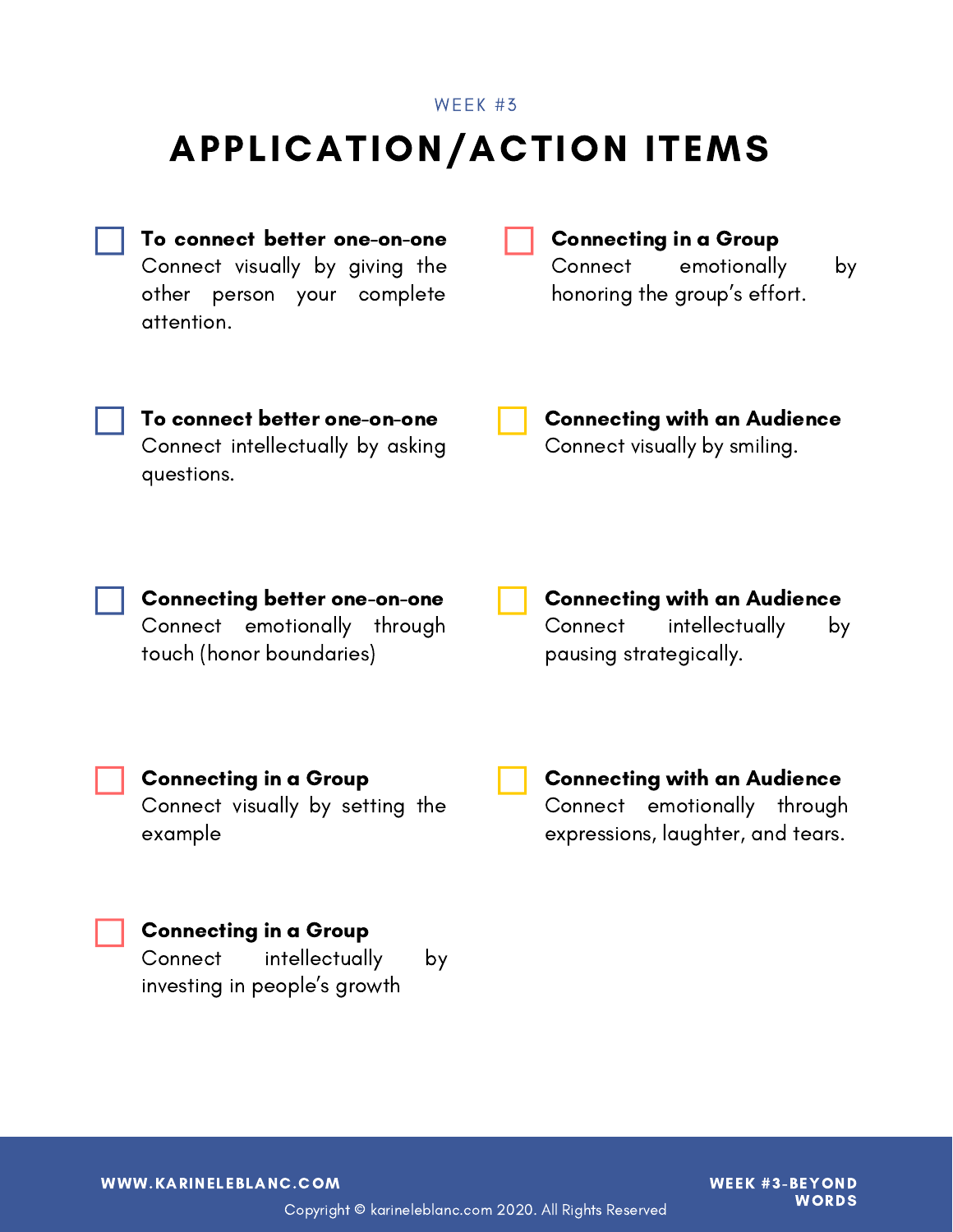### APPLICATION/ACTION ITEMS WEEK #3

To connect better one-on-one Connect visually by giving the other person your complete attention. To connect better one-on-one Connect intellectually by asking questions. Connecting better one-on-one Connect emotionally through touch (honor boundaries) Connecting in a Group Connect visually by setting the example Connecting in a Group Connect emotionally by honoring the group's effort. Connecting with an Audience Connect visually by smiling. Connecting with an Audience Connect intellectually by pausing strategically. Connecting with an Audience Connect emotionally through expressions, laughter, and tears.

#### Connecting in a Group

Connect intellectually by investing in people's growth

WWW.KARINELEBLANC.COM WEEK #3-BEYOND

**WORDS** 

Copyright © karineleblanc.com 2020. All Rights Reserved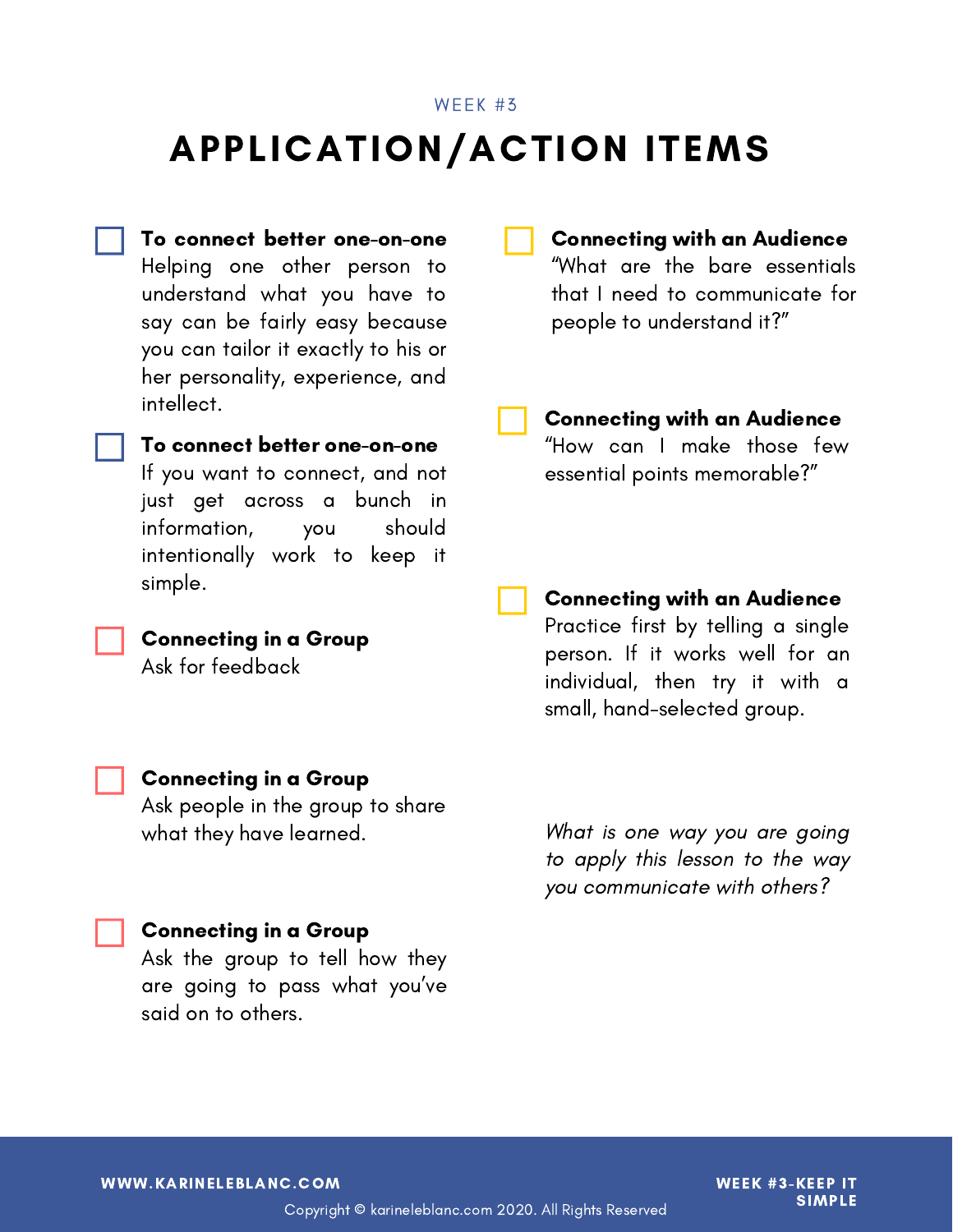#### WEEK #3

### APPLICATION/ACTION ITEMS

To connect better one-on-one Helping one other person to understand what you have to say can be fairly easy because you can tailor it exactly to his or her personality, experience, and intellect.

To connect better one-on-one If you want to connect, and not just get across a bunch in information, you should

intentionally work to keep it

simple.



#### Connecting in a Group

Ask for feedback

Connecting with an Audience "What are the bare essentials that I need to communicate for people to understand it?"

Connecting with an Audience "How can I make those few essential points memorable?"

#### Connecting with an Audience Practice first by telling a single

person. If it works well for an individual, then try it with a small, hand-selected group.

#### Connecting in a Group

Ask people in the group to share what they have learned.

Connecting in a Group

Ask the group to tell how they are going to pass what you've said on to others.

What is one way you are going to apply this lesson to the way you communicate with others?

WWW.KARINELEBLANC.COM WEEK #3-KEEP IT

SIMPLE

Copyright © karineleblanc.com 2020. All Rights Reserved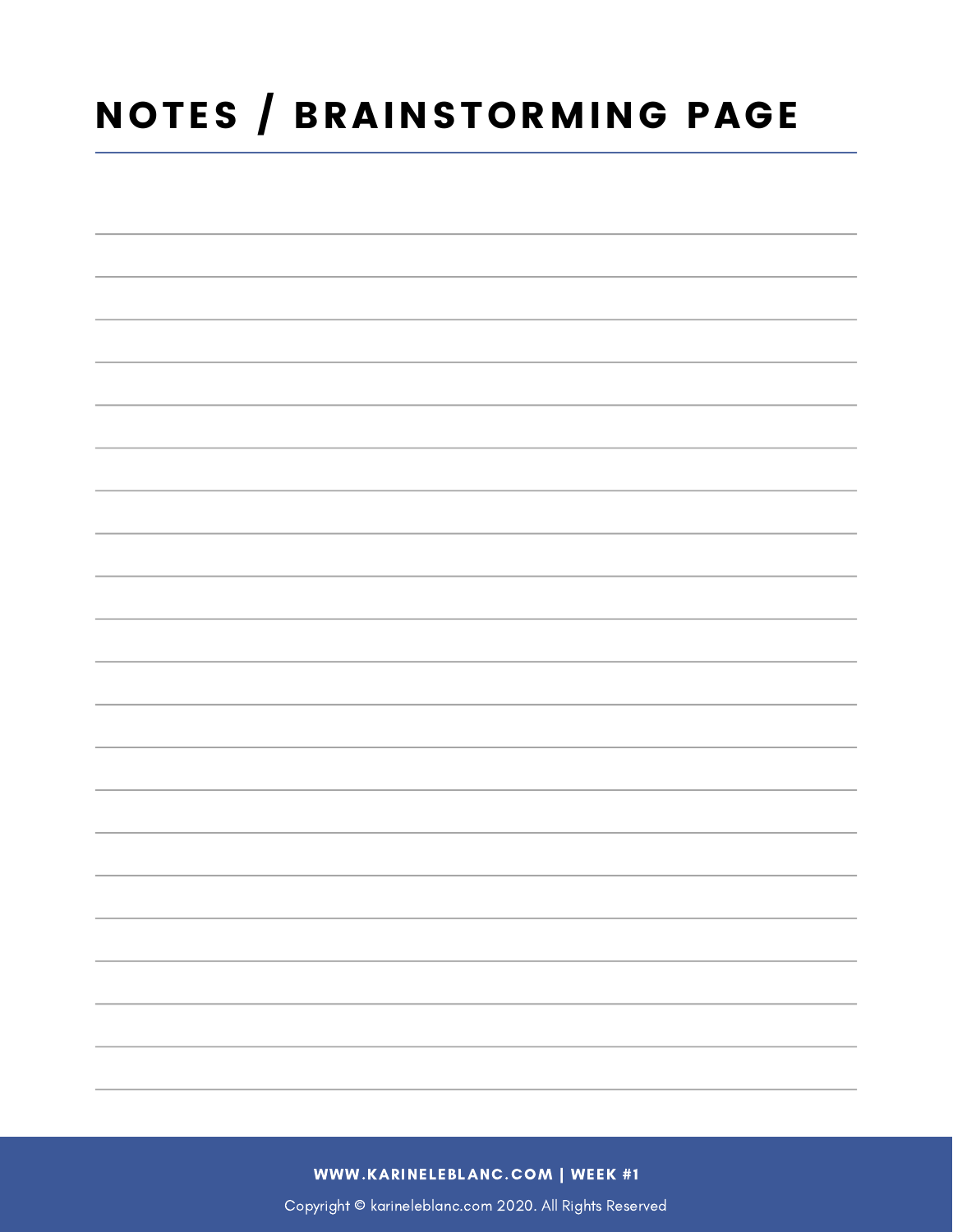## NOTES / BRAINSTORMING PAGE

WWW.KARINELEBLANC.COM | WEEK #1

Copyright © karineleblanc.com 2020. All Rights Reserved